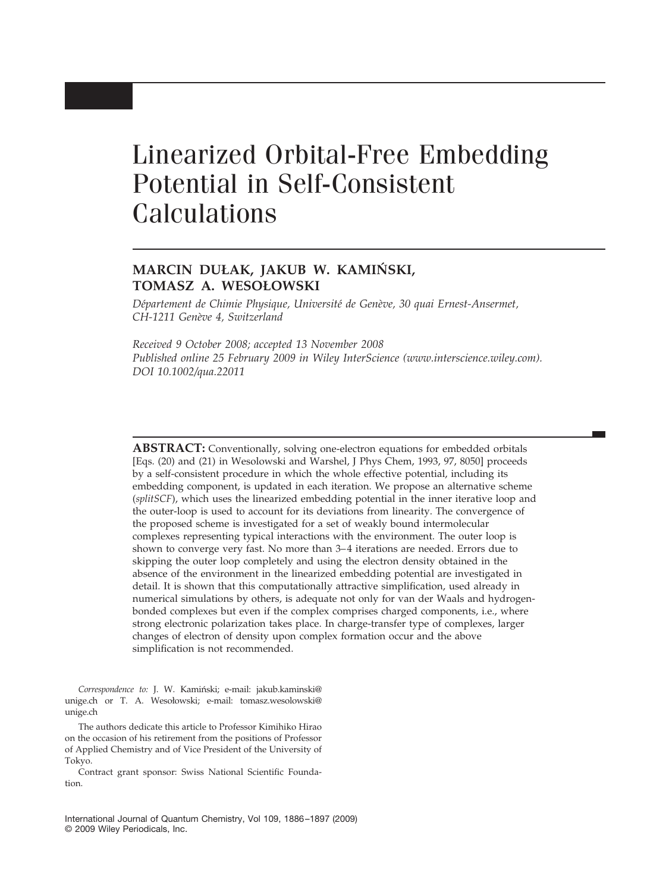# Linearized Orbital-Free Embedding Potential in Self-Consistent Calculations

## **MARCIN DUŁAK, JAKUB W. KAMIŃSKI, TOMASZ A. WESOŁOWSKI**

*De´partement de Chimie Physique, Universite´ de Gene`ve, 30 quai Ernest-Ansermet, CH-1211 Gene`ve 4, Switzerland*

*Received 9 October 2008; accepted 13 November 2008 Published online 25 February 2009 in Wiley InterScience (www.interscience.wiley.com). DOI 10.1002/qua.22011*

**ABSTRACT:** Conventionally, solving one-electron equations for embedded orbitals [Eqs. (20) and (21) in Wesolowski and Warshel, J Phys Chem, 1993, 97, 8050] proceeds by a self-consistent procedure in which the whole effective potential, including its embedding component, is updated in each iteration. We propose an alternative scheme (*splitSCF*), which uses the linearized embedding potential in the inner iterative loop and the outer-loop is used to account for its deviations from linearity. The convergence of the proposed scheme is investigated for a set of weakly bound intermolecular complexes representing typical interactions with the environment. The outer loop is shown to converge very fast. No more than  $3-4$  iterations are needed. Errors due to skipping the outer loop completely and using the electron density obtained in the absence of the environment in the linearized embedding potential are investigated in detail. It is shown that this computationally attractive simplification, used already in numerical simulations by others, is adequate not only for van der Waals and hydrogenbonded complexes but even if the complex comprises charged components, i.e., where strong electronic polarization takes place. In charge-transfer type of complexes, larger changes of electron of density upon complex formation occur and the above simplification is not recommended.

Correspondence to: J. W. Kamiński; e-mail: jakub.kaminski@ unige.ch or T. A. Wesołowski; e-mail: tomasz.wesolowski@ unige.ch

The authors dedicate this article to Professor Kimihiko Hirao on the occasion of his retirement from the positions of Professor of Applied Chemistry and of Vice President of the University of Tokyo.

Contract grant sponsor: Swiss National Scientific Foundation.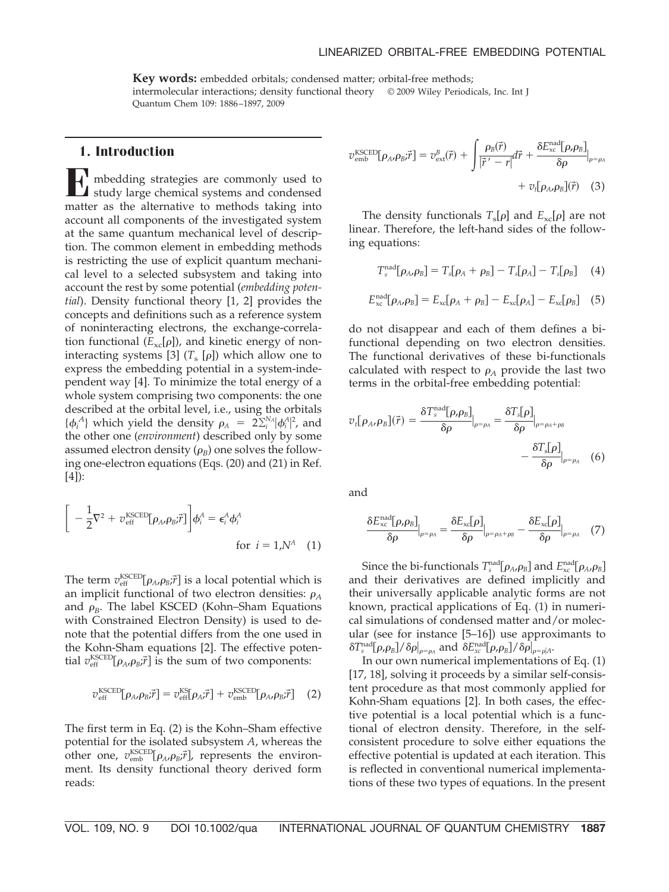#### LINEARIZED ORBITAL-FREE EMBEDDING POTENTIAL

**Key words:** embedded orbitals; condensed matter; orbital-free methods; intermolecular interactions; density functional theory © 2009 Wiley Periodicals, Inc. Int J Quantum Chem 109: 1886 –1897, 2009

## **1. Introduction**

**E** mbedding strategies are commonly used to study large chemical systems and condensed matter as the alternative to methods taking into account all components of the investigated system at the same quantum mechanical level of description. The common element in embedding methods is restricting the use of explicit quantum mechanical level to a selected subsystem and taking into account the rest by some potential (*embedding potential*). Density functional theory [1, 2] provides the concepts and definitions such as a reference system of noninteracting electrons, the exchange-correlation functional  $(E_{\text{xc}}[\rho])$ , and kinetic energy of noninteracting systems [3]  $(T_s \rho)$  which allow one to express the embedding potential in a system-independent way [4]. To minimize the total energy of a whole system comprising two components: the one described at the orbital level, i.e., using the orbitals  $\{\phi_i^A\}$  which yield the density  $\rho_A = 2\sum_i^{N_A} |\phi_i^A|^2$ , and the other one (*environment*) described only by some assumed electron density  $(\rho_B)$  one solves the following one-electron equations (Eqs. (20) and (21) in Ref. [4]):

$$
\left[-\frac{1}{2}\nabla^2 + v_{\text{eff}}^{\text{KSCED}}[\rho_{A}, \rho_B; \vec{r}] \right] \phi_i^A = \epsilon_i^A \phi_i^A
$$
  
for  $i = 1, N^A$  (1)

The term  $v_{\text{eff}}^{\text{KSCED}}[\rho_A, \rho_B; \vec{r}]$  is a local potential which is an implicit functional of two electron densities:  $\rho_A$ and  $\rho_B$ . The label KSCED (Kohn–Sham Equations with Constrained Electron Density) is used to denote that the potential differs from the one used in the Kohn-Sham equations [2]. The effective potential  $v_{\text{eff}}^{\text{KSCED}}[\rho_A, \rho_B; \vec{r}]$  is the sum of two components:

$$
v_{\rm eff}^{\rm KSCED}[\rho_{A\prime}\rho_{B}\vec{r}] = v_{\rm eff}^{\rm KS}[\rho_{A}\vec{r}] + v_{\rm emb}^{\rm KSCED}[\rho_{A\prime}\rho_{B}\vec{r}] \quad (2)
$$

The first term in Eq. (2) is the Kohn–Sham effective potential for the isolated subsystem *A*, whereas the other one,  $v_{\text{emb}}^{\text{KSCED}}[\rho_A, \rho_B; \vec{r}]$ , represents the environment. Its density functional theory derived form reads:

$$
\mathcal{v}_{\text{emb}}^{\text{KSCED}}[\rho_{A\prime}\rho_{B}\vec{r}] = v_{\text{ext}}^{B}(\vec{r}) + \int \frac{\rho_{B}(\vec{r})}{|\vec{r}' - r|} d\vec{r} + \frac{\delta E_{\text{xc}}^{\text{nad}}[\rho_{\prime}\rho_{B}]}{\delta \rho} \Big|_{\rho = \rho_{A}} + v_{\text{t}}[\rho_{A\prime}\rho_{B}](\vec{r}) \quad (3)
$$

The density functionals  $T_s[\rho]$  and  $E_{\text{xc}}[\rho]$  are not linear. Therefore, the left-hand sides of the following equations:

$$
T_s^{\text{nad}}[\rho_A, \rho_B] = T_s[\rho_A + \rho_B] - T_s[\rho_A] - T_s[\rho_B]
$$
 (4)

$$
E_{\rm xc}^{\rm nad}[\rho_A,\rho_B] = E_{\rm xc}[\rho_A + \rho_B] - E_{\rm xc}[\rho_A] - E_{\rm xc}[\rho_B]
$$
 (5)

do not disappear and each of them defines a bifunctional depending on two electron densities. The functional derivatives of these bi-functionals calculated with respect to  $\rho_A$  provide the last two terms in the orbital-free embedding potential:

$$
v_t[\rho_{A\prime}\rho_B](\vec{r}) = \frac{\delta T_s^{\text{nad}}[\rho_{\prime}\rho_B]}{\delta \rho}|_{\rho=\rho_A} = \frac{\delta T_s[\rho]}{\delta \rho}|_{\rho=\rho_A+\rho_B} - \frac{\delta T_s[\rho]}{\delta \rho}|_{\rho=\rho_A} \quad (6)
$$

and

$$
\frac{\delta E_{\rm xc}^{\rm nad}[\rho,\rho_B]}{\delta \rho}\Big|_{\rho=\rho_A} = \frac{\delta E_{\rm xc}[\rho]}{\delta \rho}\Big|_{\rho=\rho_A+\rho_B} - \frac{\delta E_{\rm xc}[\rho]}{\delta \rho}\Big|_{\rho=\rho_A} \quad (7)
$$

Since the bi-functionals  $T_s^{\text{nad}}[\rho_A, \rho_B]$  and  $E_{\text{xc}}^{\text{nad}}[\rho_A, \rho_B]$ and their derivatives are defined implicitly and their universally applicable analytic forms are not known, practical applications of Eq. (1) in numerical simulations of condensed matter and/or molecular (see for instance [5–16]) use approximants to  $\delta T_{s}^{\rm nad}[\rho,\rho_{\rm B}]/\delta\rho|_{\rho=\rho_{\rm A}}$  and  $\delta E_{xc}^{\rm nad}[\rho,\rho_{\rm B}]/\delta\rho|_{\rho=\rho|\rm A}.$ 

In our own numerical implementations of Eq. (1) [17, 18], solving it proceeds by a similar self-consistent procedure as that most commonly applied for Kohn-Sham equations [2]. In both cases, the effective potential is a local potential which is a functional of electron density. Therefore, in the selfconsistent procedure to solve either equations the effective potential is updated at each iteration. This is reflected in conventional numerical implementations of these two types of equations. In the present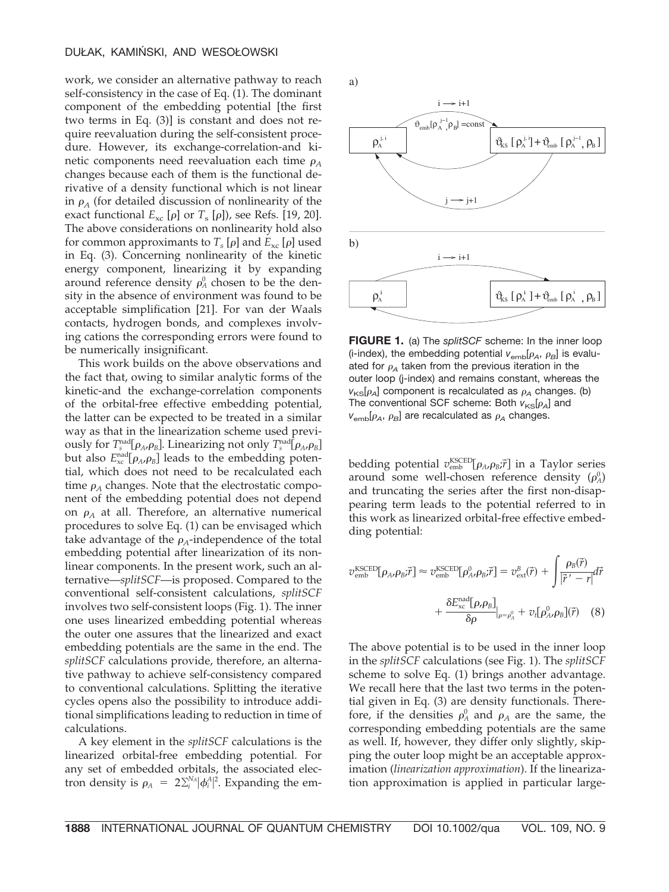work, we consider an alternative pathway to reach self-consistency in the case of Eq. (1). The dominant component of the embedding potential [the first two terms in Eq. (3)] is constant and does not require reevaluation during the self-consistent procedure. However, its exchange-correlation-and kinetic components need reevaluation each time  $\rho_A$ changes because each of them is the functional derivative of a density functional which is not linear in  $\rho_A$  (for detailed discussion of nonlinearity of the exact functional  $E_{\text{xc}}$  [ $\rho$ ] or  $T_{\text{s}}$  [ $\rho$ ]), see Refs. [19, 20]. The above considerations on nonlinearity hold also for common approximants to  $T_s[\rho]$  and  $E_{xc}[\rho]$  used in Eq. (3). Concerning nonlinearity of the kinetic energy component, linearizing it by expanding around reference density  $\rho_A^0$  chosen to be the density in the absence of environment was found to be acceptable simplification [21]. For van der Waals contacts, hydrogen bonds, and complexes involving cations the corresponding errors were found to be numerically insignificant.

This work builds on the above observations and the fact that, owing to similar analytic forms of the kinetic-and the exchange-correlation components of the orbital-free effective embedding potential, the latter can be expected to be treated in a similar way as that in the linearization scheme used previously for  $T_s^{\text{nad}}[\rho_A, \rho_B]$ . Linearizing not only  $T_s^{\text{nad}}[\rho_A, \rho_B]$ but also  $E_{\text{xc}}^{\text{nad}}[\rho_A, \rho_B]$  leads to the embedding potential, which does not need to be recalculated each time  $\rho_A$  changes. Note that the electrostatic component of the embedding potential does not depend on  $\rho_A$  at all. Therefore, an alternative numerical procedures to solve Eq. (1) can be envisaged which take advantage of the  $\rho_A$ -independence of the total embedding potential after linearization of its nonlinear components. In the present work, such an alternative—*splitSCF*—is proposed. Compared to the conventional self-consistent calculations, *splitSCF* involves two self-consistent loops (Fig. 1). The inner one uses linearized embedding potential whereas the outer one assures that the linearized and exact embedding potentials are the same in the end. The *splitSCF* calculations provide, therefore, an alternative pathway to achieve self-consistency compared to conventional calculations. Splitting the iterative cycles opens also the possibility to introduce additional simplifications leading to reduction in time of calculations.

A key element in the *splitSCF* calculations is the linearized orbital-free embedding potential. For any set of embedded orbitals, the associated electron density is  $\rho_A = 2 \sum_i^{N_A} |\phi_i^A|^2$ . Expanding the ema)



**FIGURE 1.** (a) The *splitSCF* scheme: In the inner loop (i-index), the embedding potential  $v_{emb}[\rho_A, \rho_B]$  is evaluated for  $\rho_A$  taken from the previous iteration in the outer loop (j-index) and remains constant, whereas the  $v_{\text{KS}}[\rho_A]$  component is recalculated as  $\rho_A$  changes. (b) The conventional SCF scheme: Both  $v_{KS}[\rho_{A}]$  and  $v_{emb}[\rho_A, \rho_B]$  are recalculated as  $\rho_A$  changes.

bedding potential  $v_{\rm emb}^{\rm KSCED}[\rho_A,\rho_B;\vec{r}]$  in a Taylor series around some well-chosen reference density  $(\rho_A^0)$ and truncating the series after the first non-disappearing term leads to the potential referred to in this work as linearized orbital-free effective embedding potential:

$$
\begin{split} \n\mathcal{V}_{\text{emb}}^{\text{KSCED}}[\rho_{A\prime}\rho_{B}\vec{r}] &\approx \mathcal{V}_{\text{emb}}^{\text{KSCED}}[\rho_{A\prime}^0 \rho_{B}\vec{r}] = \mathcal{V}_{\text{ext}}^B(\vec{r}) + \int \frac{\rho_{B}(\vec{r})}{|\vec{r}' - r|} d\vec{r} \\ &+ \frac{\delta E_{\text{xc}}^{\text{nad}}[\rho_{\prime}\rho_{B}]}{\delta \rho} \Big|_{\rho = \rho_{A}^0} + \mathcal{V}_{t}[\rho_{A\prime}^0 \rho_{B}](\vec{r}) \end{split} \tag{8}
$$

The above potential is to be used in the inner loop in the *splitSCF* calculations (see Fig. 1). The *splitSCF* scheme to solve Eq. (1) brings another advantage. We recall here that the last two terms in the potential given in Eq. (3) are density functionals. Therefore, if the densities  $\rho_A^0$  and  $\rho_A$  are the same, the corresponding embedding potentials are the same as well. If, however, they differ only slightly, skipping the outer loop might be an acceptable approximation (*linearization approximation*). If the linearization approximation is applied in particular large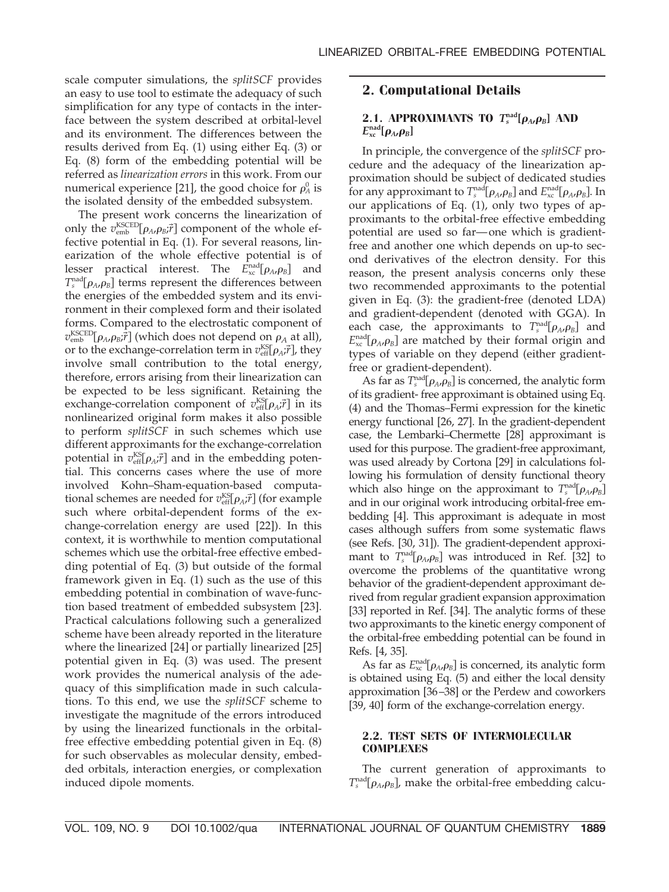scale computer simulations, the *splitSCF* provides an easy to use tool to estimate the adequacy of such simplification for any type of contacts in the interface between the system described at orbital-level and its environment. The differences between the results derived from Eq. (1) using either Eq. (3) or Eq. (8) form of the embedding potential will be referred as *linearization errors* in this work. From our numerical experience [21], the good choice for  $\rho_A^0$  is the isolated density of the embedded subsystem.

The present work concerns the linearization of only the  $v_{\text{emb}}^{\text{KSCED}}[\rho_A, \rho_B; \vec{r}]$  component of the whole effective potential in Eq. (1). For several reasons, linearization of the whole effective potential is of lesser practical interest. The  $E_{\text{xc}}^{\text{nad}}[\rho_{A}, \rho_{B}]$  and  $T_s^{\text{nad}}[\rho_A, \rho_B]$  terms represent the differences between the energies of the embedded system and its environment in their complexed form and their isolated forms. Compared to the electrostatic component of  $v_{\text{emb}}^{\text{KSCED}}[\rho_{A}, \rho_{B}; \vec{r}]$  (which does not depend on  $\rho_{A}$  at all), or to the exchange-correlation term in  $v_{\text{eff}}^{\text{KST}}[\rho_A; \vec{r}]$ , they involve small contribution to the total energy, therefore, errors arising from their linearization can be expected to be less significant. Retaining the exchange-correlation component of  $v_{\text{eff}}^{\text{KS}}[\rho_{A}$ ; $\vec{r}$ ] in its nonlinearized original form makes it also possible to perform *splitSCF* in such schemes which use different approximants for the exchange-correlation potential in  $v_{\text{eff}}^{\text{KST}}[\rho_A; \vec{r}]$  and in the embedding potential. This concerns cases where the use of more involved Kohn–Sham-equation-based computational schemes are needed for  $v_{\text{eff}}^{\text{KST}}[\rho_A; \vec{r}]$  (for example such where orbital-dependent forms of the exchange-correlation energy are used [22]). In this context, it is worthwhile to mention computational schemes which use the orbital-free effective embedding potential of Eq. (3) but outside of the formal framework given in Eq. (1) such as the use of this embedding potential in combination of wave-function based treatment of embedded subsystem [23]. Practical calculations following such a generalized scheme have been already reported in the literature where the linearized [24] or partially linearized [25] potential given in Eq. (3) was used. The present work provides the numerical analysis of the adequacy of this simplification made in such calculations. To this end, we use the *splitSCF* scheme to investigate the magnitude of the errors introduced by using the linearized functionals in the orbitalfree effective embedding potential given in Eq. (8) for such observables as molecular density, embedded orbitals, interaction energies, or complexation induced dipole moments.

## **2. Computational Details**

## **2.1. APPROXIMANTS TO**  $T_s^{\text{nad}}[\rho_A, \rho_B]$  **AND**  $E_{\text{xc}}^{\text{nad}}[\boldsymbol{\rho}_A \boldsymbol{.} \boldsymbol{\rho}_B]$

In principle, the convergence of the *splitSCF* procedure and the adequacy of the linearization approximation should be subject of dedicated studies for any approximant to  $T_s^{\text{nad}}[\rho_A, \rho_B]$  and  $E_{\text{xc}}^{\text{nad}}[\rho_A, \rho_B]$ . In our applications of Eq. (1), only two types of approximants to the orbital-free effective embedding potential are used so far— one which is gradientfree and another one which depends on up-to second derivatives of the electron density. For this reason, the present analysis concerns only these two recommended approximants to the potential given in Eq. (3): the gradient-free (denoted LDA) and gradient-dependent (denoted with GGA). In each case, the approximants to  $T_s^{\text{nad}}[\rho_A, \rho_B]$  and  $E_{\text{xc}}^{\text{nad}}[\rho_A, \rho_B]$  are matched by their formal origin and types of variable on they depend (either gradientfree or gradient-dependent).

As far as  $T_s^{\text{nad}}[\rho_A, \rho_B]$  is concerned, the analytic form of its gradient- free approximant is obtained using Eq. (4) and the Thomas–Fermi expression for the kinetic energy functional [26, 27]. In the gradient-dependent case, the Lembarki–Chermette [28] approximant is used for this purpose. The gradient-free approximant, was used already by Cortona [29] in calculations following his formulation of density functional theory which also hinge on the approximant to  $T_s^{\text{nad}}[\rho_A, \rho_B]$ and in our original work introducing orbital-free embedding [4]. This approximant is adequate in most cases although suffers from some systematic flaws (see Refs. [30, 31]). The gradient-dependent approximant to  $T_{s}^{\text{nad}}[\rho_{A},\rho_{B}]$  was introduced in Ref. [32] to overcome the problems of the quantitative wrong behavior of the gradient-dependent approximant derived from regular gradient expansion approximation [33] reported in Ref. [34]. The analytic forms of these two approximants to the kinetic energy component of the orbital-free embedding potential can be found in Refs. [4, 35].

As far as  $E_{\text{xc}}^{\text{nad}}[\rho_A, \rho_B]$  is concerned, its analytic form is obtained using Eq. (5) and either the local density approximation [36 –38] or the Perdew and coworkers [39, 40] form of the exchange-correlation energy.

## **2.2. TEST SETS OF INTERMOLECULAR COMPLEXES**

The current generation of approximants to  $T_s^{\text{nad}}[\rho_A, \rho_B]$ , make the orbital-free embedding calcu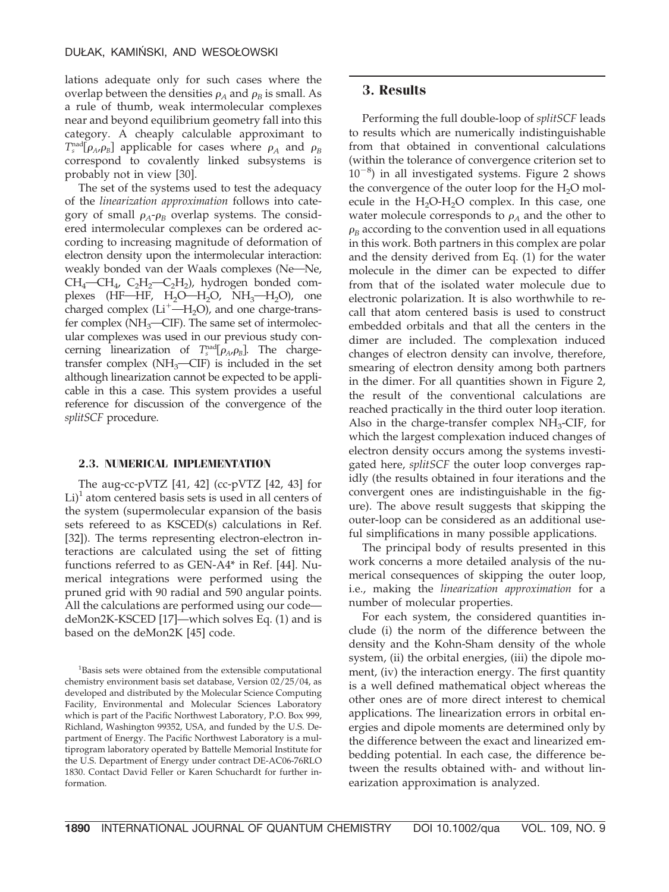lations adequate only for such cases where the overlap between the densities  $\rho_A$  and  $\rho_B$  is small. As a rule of thumb, weak intermolecular complexes near and beyond equilibrium geometry fall into this category. A cheaply calculable approximant to  $T_s^{\text{nad}}[\rho_A, \rho_B]$  applicable for cases where  $\rho_A$  and  $\rho_B$ correspond to covalently linked subsystems is probably not in view [30].

The set of the systems used to test the adequacy of the *linearization approximation* follows into category of small  $\rho_A \sim \rho_B$  overlap systems. The considered intermolecular complexes can be ordered according to increasing magnitude of deformation of electron density upon the intermolecular interaction: weakly bonded van der Waals complexes (Ne-Ne,  $CH_4$ — $CH_4$ ,  $C_2H_2$ — $C_2H_2$ ), hydrogen bonded complexes (HF-HF,  $H_2O-H_2O$ ,  $NH_3-H_2O$ ), one charged complex  $(Li^+$ —H<sub>2</sub>O), and one charge-transfer complex ( $NH_3$ —CIF). The same set of intermolecular complexes was used in our previous study concerning linearization of  $T_s^{\text{nad}}[\rho_A, \rho_B]$ . The chargetransfer complex ( $NH_3$ —CIF) is included in the set although linearization cannot be expected to be applicable in this a case. This system provides a useful reference for discussion of the convergence of the *splitSCF* procedure.

#### **2.3. NUMERICAL IMPLEMENTATION**

The aug-cc-pVTZ [41, 42] (cc-pVTZ [42, 43] for  $Li$ <sup>1</sup> atom centered basis sets is used in all centers of the system (supermolecular expansion of the basis sets refereed to as KSCED(s) calculations in Ref. [32]). The terms representing electron-electron interactions are calculated using the set of fitting functions referred to as GEN-A4\* in Ref. [44]. Numerical integrations were performed using the pruned grid with 90 radial and 590 angular points. All the calculations are performed using our code deMon2K-KSCED [17]—which solves Eq. (1) and is based on the deMon2K [45] code.

## **3. Results**

Performing the full double-loop of *splitSCF* leads to results which are numerically indistinguishable from that obtained in conventional calculations (within the tolerance of convergence criterion set to  $10^{-8}$ ) in all investigated systems. Figure 2 shows the convergence of the outer loop for the  $H_2O$  molecule in the  $H_2O-H_2O$  complex. In this case, one water molecule corresponds to  $\rho_A$  and the other to  $\rho_B$  according to the convention used in all equations in this work. Both partners in this complex are polar and the density derived from Eq. (1) for the water molecule in the dimer can be expected to differ from that of the isolated water molecule due to electronic polarization. It is also worthwhile to recall that atom centered basis is used to construct embedded orbitals and that all the centers in the dimer are included. The complexation induced changes of electron density can involve, therefore, smearing of electron density among both partners in the dimer. For all quantities shown in Figure 2, the result of the conventional calculations are reached practically in the third outer loop iteration. Also in the charge-transfer complex  $NH<sub>3</sub>$ -CIF, for which the largest complexation induced changes of electron density occurs among the systems investigated here, *splitSCF* the outer loop converges rapidly (the results obtained in four iterations and the convergent ones are indistinguishable in the figure). The above result suggests that skipping the outer-loop can be considered as an additional useful simplifications in many possible applications.

The principal body of results presented in this work concerns a more detailed analysis of the numerical consequences of skipping the outer loop, i.e., making the *linearization approximation* for a number of molecular properties.

For each system, the considered quantities include (i) the norm of the difference between the density and the Kohn-Sham density of the whole system, (ii) the orbital energies, (iii) the dipole moment, (iv) the interaction energy. The first quantity is a well defined mathematical object whereas the other ones are of more direct interest to chemical applications. The linearization errors in orbital energies and dipole moments are determined only by the difference between the exact and linearized embedding potential. In each case, the difference between the results obtained with- and without linearization approximation is analyzed.

<sup>&</sup>lt;sup>1</sup>Basis sets were obtained from the extensible computational chemistry environment basis set database, Version 02/25/04, as developed and distributed by the Molecular Science Computing Facility, Environmental and Molecular Sciences Laboratory which is part of the Pacific Northwest Laboratory, P.O. Box 999, Richland, Washington 99352, USA, and funded by the U.S. Department of Energy. The Pacific Northwest Laboratory is a multiprogram laboratory operated by Battelle Memorial Institute for the U.S. Department of Energy under contract DE-AC06-76RLO 1830. Contact David Feller or Karen Schuchardt for further information.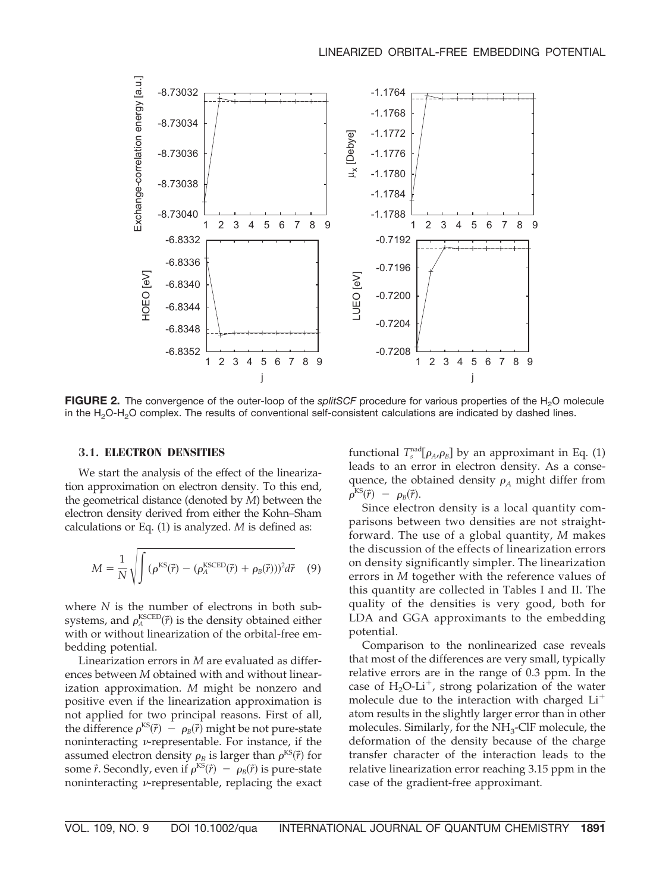

**FIGURE 2.** The convergence of the outer-loop of the *splitSCF* procedure for various properties of the H<sub>2</sub>O molecule in the  $H<sub>2</sub>O-H<sub>2</sub>O$  complex. The results of conventional self-consistent calculations are indicated by dashed lines.

#### **3.1. ELECTRON DENSITIES**

We start the analysis of the effect of the linearization approximation on electron density. To this end, the geometrical distance (denoted by *M*) between the electron density derived from either the Kohn–Sham calculations or Eq. (1) is analyzed. *M* is defined as:

$$
M = \frac{1}{N} \sqrt{\int (\rho^{KS}(\vec{r}) - (\rho_A^{KSCED}(\vec{r}) + \rho_B(\vec{r})))^2 d\vec{r}}
$$
 (9)

where *N* is the number of electrons in both subsystems, and  $\rho_A^{\text{KSCED}}(\vec{r})$  is the density obtained either with or without linearization of the orbital-free embedding potential.

Linearization errors in *M* are evaluated as differences between *M* obtained with and without linearization approximation. *M* might be nonzero and positive even if the linearization approximation is not applied for two principal reasons. First of all, the difference  $\rho^{KS}(\vec{r}) - \rho_B(\vec{r})$  might be not pure-state noninteracting  $\nu$ -representable. For instance, if the assumed electron density  $\rho_B$  is larger than  $\rho^{\text{KS}}(\vec{r})$  for some  $\vec{r}$ . Secondly, even if  $\rho^{KS}(\vec{r}) - \rho_B(\vec{r})$  is pure-state noninteracting  $\nu$ -representable, replacing the exact

functional  $T_s^{\text{nad}}[\rho_A, \rho_B]$  by an approximant in Eq. (1) leads to an error in electron density. As a consequence, the obtained density  $\rho_A$  might differ from  $\rho^{\text{KS}}(\vec{r}) - \rho_{\text{B}}(\vec{r}).$ 

Since electron density is a local quantity comparisons between two densities are not straightforward. The use of a global quantity, *M* makes the discussion of the effects of linearization errors on density significantly simpler. The linearization errors in *M* together with the reference values of this quantity are collected in Tables I and II. The quality of the densities is very good, both for LDA and GGA approximants to the embedding potential.

Comparison to the nonlinearized case reveals that most of the differences are very small, typically relative errors are in the range of 0.3 ppm. In the case of  $H_2O-Li^+$ , strong polarization of the water molecule due to the interaction with charged Li atom results in the slightly larger error than in other molecules. Similarly, for the NH3-ClF molecule, the deformation of the density because of the charge transfer character of the interaction leads to the relative linearization error reaching 3.15 ppm in the case of the gradient-free approximant.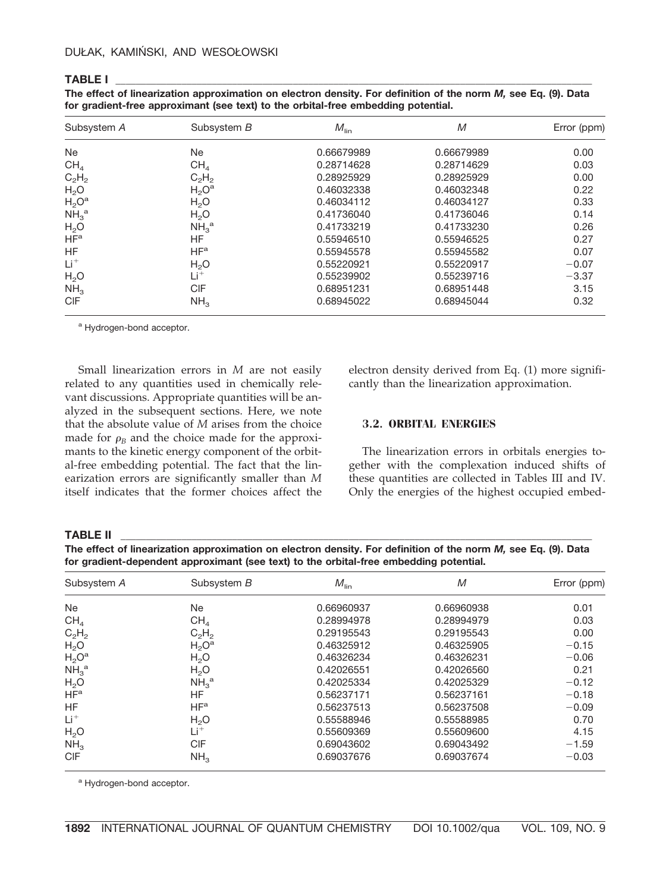#### **TABLE I \_\_\_\_\_\_\_\_\_\_\_\_\_\_\_\_\_\_\_\_\_\_\_\_\_\_\_\_\_\_\_\_\_\_\_\_\_\_\_\_\_\_\_\_\_\_\_\_\_\_\_\_\_\_\_\_\_\_\_\_\_\_\_\_\_\_\_\_\_\_\_\_\_\_\_\_\_\_\_\_\_\_\_\_\_\_\_\_\_\_\_\_\_\_**

| The effect of linearization approximation on electron density. For definition of the norm <i>M</i> , see Eq. (9). Data |
|------------------------------------------------------------------------------------------------------------------------|
| for gradient-free approximant (see text) to the orbital-free embedding potential.                                      |

| Subsystem A                  | Subsystem B                  | $M_{\text{lin}}$ | M          | Error (ppm) |
|------------------------------|------------------------------|------------------|------------|-------------|
| <b>Ne</b>                    | Ne                           | 0.66679989       | 0.66679989 | 0.00        |
| CH <sub>4</sub>              | CH <sub>4</sub>              | 0.28714628       | 0.28714629 | 0.03        |
| $C_2H_2$                     | $C_2H_2$                     | 0.28925929       | 0.28925929 | 0.00        |
| H <sub>2</sub> O             | $H_2O^a$                     | 0.46032338       | 0.46032348 | 0.22        |
| $H_2O^a$                     | H <sub>2</sub> O             | 0.46034112       | 0.46034127 | 0.33        |
| NH <sub>3</sub> <sup>a</sup> | H <sub>2</sub> O             | 0.41736040       | 0.41736046 | 0.14        |
| H <sub>2</sub> O             | NH <sub>3</sub> <sup>a</sup> | 0.41733219       | 0.41733230 | 0.26        |
| HF <sup>a</sup>              | HF                           | 0.55946510       | 0.55946525 | 0.27        |
| HF                           | HF <sup>a</sup>              | 0.55945578       | 0.55945582 | 0.07        |
| $Li+$                        | H <sub>2</sub> O             | 0.55220921       | 0.55220917 | $-0.07$     |
| H <sub>2</sub> O             | $Li^+$                       | 0.55239902       | 0.55239716 | $-3.37$     |
| NH <sub>3</sub>              | CIF                          | 0.68951231       | 0.68951448 | 3.15        |
| <b>CIF</b>                   | NH <sub>3</sub>              | 0.68945022       | 0.68945044 | 0.32        |

a Hydrogen-bond acceptor.

Small linearization errors in *M* are not easily related to any quantities used in chemically relevant discussions. Appropriate quantities will be analyzed in the subsequent sections. Here, we note that the absolute value of *M* arises from the choice made for  $\rho_B$  and the choice made for the approximants to the kinetic energy component of the orbital-free embedding potential. The fact that the linearization errors are significantly smaller than *M* itself indicates that the former choices affect the electron density derived from Eq. (1) more significantly than the linearization approximation.

#### **3.2. ORBITAL ENERGIES**

The linearization errors in orbitals energies together with the complexation induced shifts of these quantities are collected in Tables III and IV. Only the energies of the highest occupied embed-

#### **TABLE II \_\_\_\_\_\_\_\_\_\_\_\_\_\_\_\_\_\_\_\_\_\_\_\_\_\_\_\_\_\_\_\_\_\_\_\_\_\_\_\_\_\_\_\_\_\_\_\_\_\_\_\_\_\_\_\_\_\_\_\_\_\_\_\_\_\_\_\_\_\_\_\_\_\_\_\_\_\_\_\_\_\_\_\_\_\_\_\_\_\_\_\_\_**

**The effect of linearization approximation on electron density. For definition of the norm** *M,* **see Eq. (9). Data for gradient-dependent approximant (see text) to the orbital-free embedding potential.**

| Subsystem A                  | Subsystem B                  | $M_{\text{lin}}$ | M          | Error (ppm) |
|------------------------------|------------------------------|------------------|------------|-------------|
| Ne                           | Ne                           | 0.66960937       | 0.66960938 | 0.01        |
| CH <sub>4</sub>              | CH <sub>A</sub>              | 0.28994978       | 0.28994979 | 0.03        |
| $C_2H_2$                     | $C_2H_2$                     | 0.29195543       | 0.29195543 | 0.00        |
| H <sub>2</sub> O             | $H_2O^a$                     | 0.46325912       | 0.46325905 | $-0.15$     |
| $H_2O^a$                     | H <sub>2</sub> O             | 0.46326234       | 0.46326231 | $-0.06$     |
| NH <sub>3</sub> <sup>a</sup> | H <sub>2</sub> O             | 0.42026551       | 0.42026560 | 0.21        |
| H <sub>2</sub> O             | NH <sub>3</sub> <sup>a</sup> | 0.42025334       | 0.42025329 | $-0.12$     |
| HF <sup>a</sup>              | HF                           | 0.56237171       | 0.56237161 | $-0.18$     |
| <b>HF</b>                    | HF <sup>a</sup>              | 0.56237513       | 0.56237508 | $-0.09$     |
| $Li+$                        | H <sub>2</sub> O             | 0.55588946       | 0.55588985 | 0.70        |
| H <sub>2</sub> O             | $Li^+$                       | 0.55609369       | 0.55609600 | 4.15        |
| NH <sub>3</sub>              | CIF                          | 0.69043602       | 0.69043492 | $-1.59$     |
| <b>CIF</b>                   | NH <sub>3</sub>              | 0.69037676       | 0.69037674 | $-0.03$     |

a Hydrogen-bond acceptor.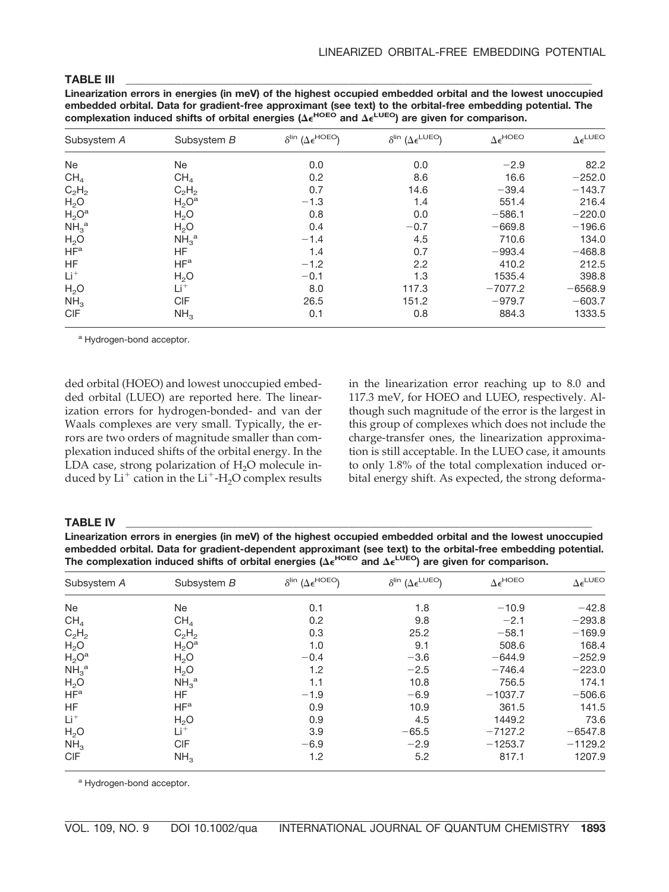#### **TABLE III \_\_\_\_\_\_\_\_\_\_\_\_\_\_\_\_\_\_\_\_\_\_\_\_\_\_\_\_\_\_\_\_\_\_\_\_\_\_\_\_\_\_\_\_\_\_\_\_\_\_\_\_\_\_\_\_\_\_\_\_\_\_\_\_\_\_\_\_\_\_\_\_\_\_\_\_\_\_\_\_\_\_\_\_\_\_\_\_\_\_\_\_**

**Linearization errors in energies (in meV) of the highest occupied embedded orbital and the lowest unoccupied embedded orbital. Data for gradient-free approximant (see text) to the orbital-free embedding potential. The** complexation induced shifts of orbital energies ( $\Delta \epsilon^{HOEO}$  and  $\Delta \epsilon^{LUEO}$ ) are given for comparison.

| Subsystem A                  | Subsystem B                  | $\delta^{\text{lin}}$ ( $\Delta \epsilon^{\text{HOEO}}$ ) | $\delta^{\text{lin}}$ ( $\Delta \epsilon^{\text{LUEO}}$ ) | $\Delta \epsilon^{H OEO}$ | $\Delta \epsilon^{\text{LUEO}}$ |
|------------------------------|------------------------------|-----------------------------------------------------------|-----------------------------------------------------------|---------------------------|---------------------------------|
| Ne                           | Ne                           | 0.0                                                       | 0.0                                                       | $-2.9$                    | 82.2                            |
| CH <sub>4</sub>              | CH <sub>4</sub>              | 0.2                                                       | 8.6                                                       | 16.6                      | $-252.0$                        |
| $C_2H_2$                     | $C_2H_2$                     | 0.7                                                       | 14.6                                                      | $-39.4$                   | $-143.7$                        |
| H <sub>2</sub> O             | $H_2O^a$                     | $-1.3$                                                    | 1.4                                                       | 551.4                     | 216.4                           |
| $H_2O^a$                     | H <sub>2</sub> O             | 0.8                                                       | 0.0                                                       | $-586.1$                  | $-220.0$                        |
| NH <sub>3</sub> <sup>a</sup> | H <sub>2</sub> O             | 0.4                                                       | $-0.7$                                                    | $-669.8$                  | $-196.6$                        |
| H <sub>2</sub> O             | NH <sub>3</sub> <sup>a</sup> | $-1.4$                                                    | 4.5                                                       | 710.6                     | 134.0                           |
| HF <sup>a</sup>              | HF                           | 1.4                                                       | 0.7                                                       | $-993.4$                  | $-468.8$                        |
| <b>HF</b>                    | HF <sup>a</sup>              | $-1.2$                                                    | 2.2                                                       | 410.2                     | 212.5                           |
| $Li+$                        | H <sub>2</sub> O             | $-0.1$                                                    | 1.3                                                       | 1535.4                    | 398.8                           |
| H <sub>2</sub> O             | Li <sup>+</sup>              | 8.0                                                       | 117.3                                                     | $-7077.2$                 | $-6568.9$                       |
| NH <sub>3</sub>              | <b>CIF</b>                   | 26.5                                                      | 151.2                                                     | $-979.7$                  | $-603.7$                        |
| <b>CIF</b>                   | NH <sub>3</sub>              | 0.1                                                       | 0.8                                                       | 884.3                     | 1333.5                          |

a Hydrogen-bond acceptor.

ded orbital (HOEO) and lowest unoccupied embedded orbital (LUEO) are reported here. The linearization errors for hydrogen-bonded- and van der Waals complexes are very small. Typically, the errors are two orders of magnitude smaller than complexation induced shifts of the orbital energy. In the LDA case, strong polarization of H<sub>2</sub>O molecule induced by  $Li^+$  cation in the  $Li^+$ -H<sub>2</sub>O complex results in the linearization error reaching up to 8.0 and 117.3 meV, for HOEO and LUEO, respectively. Although such magnitude of the error is the largest in this group of complexes which does not include the charge-transfer ones, the linearization approximation is still acceptable. In the LUEO case, it amounts to only 1.8% of the total complexation induced orbital energy shift. As expected, the strong deforma-

#### **TABLE IV \_\_\_\_\_\_\_\_\_\_\_\_\_\_\_\_\_\_\_\_\_\_\_\_\_\_\_\_\_\_\_\_\_\_\_\_\_\_\_\_\_\_\_\_\_\_\_\_\_\_\_\_\_\_\_\_\_\_\_\_\_\_\_\_\_\_\_\_\_\_\_\_\_\_\_\_\_\_\_\_\_\_\_\_\_\_\_\_\_\_\_\_**

**Linearization errors in energies (in meV) of the highest occupied embedded orbital and the lowest unoccupied embedded orbital. Data for gradient-dependent approximant (see text) to the orbital-free embedding potential.** The complexation induced shifts of orbital energies ( $\Delta \epsilon^{H OEO}$  and  $\Delta \epsilon^{L UEO}$ ) are given for comparison.

| Subsystem A                  | Subsystem B                  | $\delta^{\text{lin}}$ ( $\Delta \epsilon^{\text{HOEO}}$ ) | $\delta^{\text{lin}}$ ( $\Delta \epsilon^{\text{LUEO}}$ ) | $\Delta \epsilon^{\rm HOEO}$ | $\Delta \epsilon^{\text{LUEO}}$ |
|------------------------------|------------------------------|-----------------------------------------------------------|-----------------------------------------------------------|------------------------------|---------------------------------|
| Ne                           | Ne.                          | 0.1                                                       | 1.8                                                       | $-10.9$                      | $-42.8$                         |
| CH <sub>4</sub>              | CH <sub>4</sub>              | 0.2                                                       | 9.8                                                       | $-2.1$                       | $-293.8$                        |
| $C_2H_2$                     | $C_2H_2$                     | 0.3                                                       | 25.2                                                      | $-58.1$                      | $-169.9$                        |
| H <sub>2</sub> O             | $H_2O^a$                     | 1.0                                                       | 9.1                                                       | 508.6                        | 168.4                           |
| $H_2O^a$                     | H <sub>2</sub> O             | $-0.4$                                                    | $-3.6$                                                    | $-644.9$                     | $-252.9$                        |
| NH <sub>3</sub> <sup>a</sup> | H <sub>2</sub> O             | 1.2                                                       | $-2.5$                                                    | $-746.4$                     | $-223.0$                        |
| H <sub>2</sub> O             | NH <sub>3</sub> <sup>a</sup> | 1.1                                                       | 10.8                                                      | 756.5                        | 174.1                           |
| HF <sup>a</sup>              | HF                           | $-1.9$                                                    | $-6.9$                                                    | $-1037.7$                    | $-506.6$                        |
| HF                           | HF <sup>a</sup>              | 0.9                                                       | 10.9                                                      | 361.5                        | 141.5                           |
| $Li+$                        | H <sub>2</sub> O             | 0.9                                                       | 4.5                                                       | 1449.2                       | 73.6                            |
| H <sub>2</sub> O             | Li <sup>+</sup>              | 3.9                                                       | $-65.5$                                                   | $-7127.2$                    | $-6547.8$                       |
| NH <sub>3</sub>              | <b>CIF</b>                   | $-6.9$                                                    | $-2.9$                                                    | $-1253.7$                    | $-1129.2$                       |
| <b>CIF</b>                   | NH <sub>3</sub>              | 1.2                                                       | 5.2                                                       | 817.1                        | 1207.9                          |

a Hydrogen-bond acceptor.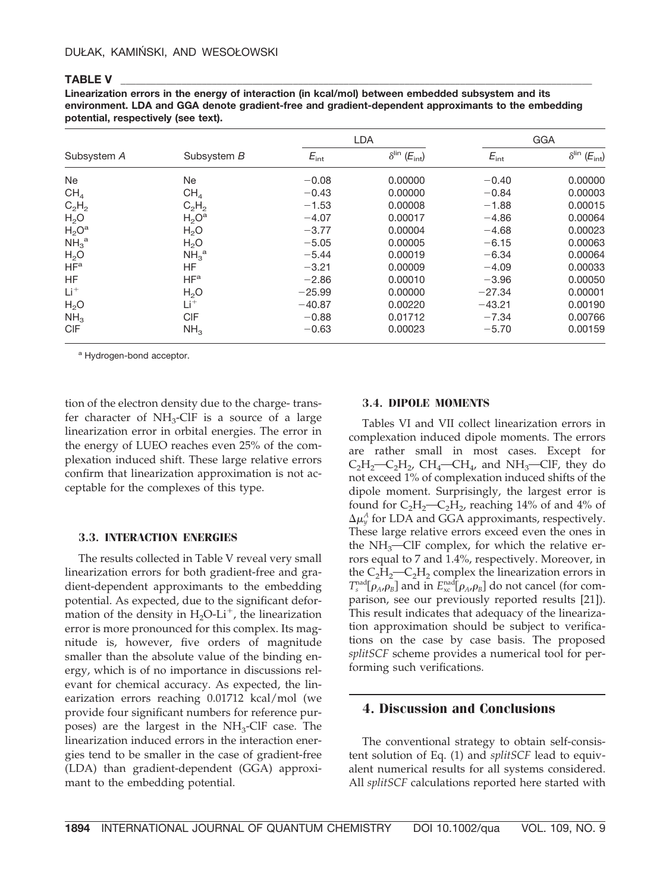#### **TABLE V \_\_\_\_\_\_\_\_\_\_\_\_\_\_\_\_\_\_\_\_\_\_\_\_\_\_\_\_\_\_\_\_\_\_\_\_\_\_\_\_\_\_\_\_\_\_\_\_\_\_\_\_\_\_\_\_\_\_\_\_\_\_\_\_\_\_\_\_\_\_\_\_\_\_\_\_\_\_\_\_\_\_\_\_\_\_\_\_\_\_\_\_\_**

**Linearization errors in the energy of interaction (in kcal/mol) between embedded subsystem and its environment. LDA and GGA denote gradient-free and gradient-dependent approximants to the embedding potential, respectively (see text).**

|                              |                              |                  | <b>LDA</b>                                 |                  | GGA                                        |  |
|------------------------------|------------------------------|------------------|--------------------------------------------|------------------|--------------------------------------------|--|
| Subsystem A                  | Subsystem B                  | $E_{\text{int}}$ | $\delta^{\text{lin}}$ ( $E_{\text{int}}$ ) | $E_{\text{int}}$ | $\delta^{\text{lin}}$ ( $E_{\text{int}}$ ) |  |
| <b>Ne</b>                    | <b>Ne</b>                    | $-0.08$          | 0.00000                                    | $-0.40$          | 0.00000                                    |  |
| CH <sub>4</sub>              | CH <sub>4</sub>              | $-0.43$          | 0.00000                                    | $-0.84$          | 0.00003                                    |  |
| $C_2H_2$                     | $C_2H_2$                     | $-1.53$          | 0.00008                                    | $-1.88$          | 0.00015                                    |  |
| H <sub>2</sub> O             | $H_2O^a$                     | $-4.07$          | 0.00017                                    | $-4.86$          | 0.00064                                    |  |
| $H_2O^a$                     | H <sub>2</sub> O             | $-3.77$          | 0.00004                                    | $-4.68$          | 0.00023                                    |  |
| NH <sub>3</sub> <sup>a</sup> | H <sub>2</sub> O             | $-5.05$          | 0.00005                                    | $-6.15$          | 0.00063                                    |  |
| H <sub>2</sub> O             | NH <sub>3</sub> <sup>a</sup> | $-5.44$          | 0.00019                                    | $-6.34$          | 0.00064                                    |  |
| HF <sup>a</sup>              | HF                           | $-3.21$          | 0.00009                                    | $-4.09$          | 0.00033                                    |  |
| HF                           | HF <sup>a</sup>              | $-2.86$          | 0.00010                                    | $-3.96$          | 0.00050                                    |  |
| $Li+$                        | H <sub>2</sub> O             | $-25.99$         | 0.00000                                    | $-27.34$         | 0.00001                                    |  |
| H <sub>2</sub> O             | $Li+$                        | $-40.87$         | 0.00220                                    | $-43.21$         | 0.00190                                    |  |
| NH <sub>3</sub>              | CIF                          | $-0.88$          | 0.01712                                    | $-7.34$          | 0.00766                                    |  |
| <b>CIF</b>                   | NH <sub>3</sub>              | $-0.63$          | 0.00023                                    | $-5.70$          | 0.00159                                    |  |

a Hydrogen-bond acceptor.

tion of the electron density due to the charge- transfer character of  $NH<sub>3</sub>$ -ClF is a source of a large linearization error in orbital energies. The error in the energy of LUEO reaches even 25% of the complexation induced shift. These large relative errors confirm that linearization approximation is not acceptable for the complexes of this type.

#### **3.3. INTERACTION ENERGIES**

The results collected in Table V reveal very small linearization errors for both gradient-free and gradient-dependent approximants to the embedding potential. As expected, due to the significant deformation of the density in  $H_2O-Li^+$ , the linearization error is more pronounced for this complex. Its magnitude is, however, five orders of magnitude smaller than the absolute value of the binding energy, which is of no importance in discussions relevant for chemical accuracy. As expected, the linearization errors reaching 0.01712 kcal/mol (we provide four significant numbers for reference purposes) are the largest in the  $NH<sub>3</sub>-ClF$  case. The linearization induced errors in the interaction energies tend to be smaller in the case of gradient-free (LDA) than gradient-dependent (GGA) approximant to the embedding potential.

#### **3.4. DIPOLE MOMENTS**

Tables VI and VII collect linearization errors in complexation induced dipole moments. The errors are rather small in most cases. Except for  $C_2H_2-C_2H_2$ , CH<sub>4</sub>—CH<sub>4</sub>, and NH<sub>3</sub>—ClF, they do not exceed 1% of complexation induced shifts of the dipole moment. Surprisingly, the largest error is found for  $C_2H_2-C_2H_2$ , reaching 14% of and 4% of  $\Delta\mu_y^A$  for LDA and GGA approximants, respectively. These large relative errors exceed even the ones in the  $NH_3$ -ClF complex, for which the relative errors equal to 7 and 1.4%, respectively. Moreover, in the  $C_2H_2$ — $C_2H_2$  complex the linearization errors in  $T_s^{\text{nad}}[\rho_A, \rho_B]$  and in  $E_{\text{xc}}^{\text{nad}}[\rho_A, \rho_B]$  do not cancel (for comparison, see our previously reported results [21]). This result indicates that adequacy of the linearization approximation should be subject to verifications on the case by case basis. The proposed *splitSCF* scheme provides a numerical tool for performing such verifications.

## **4. Discussion and Conclusions**

The conventional strategy to obtain self-consistent solution of Eq. (1) and *splitSCF* lead to equivalent numerical results for all systems considered. All *splitSCF* calculations reported here started with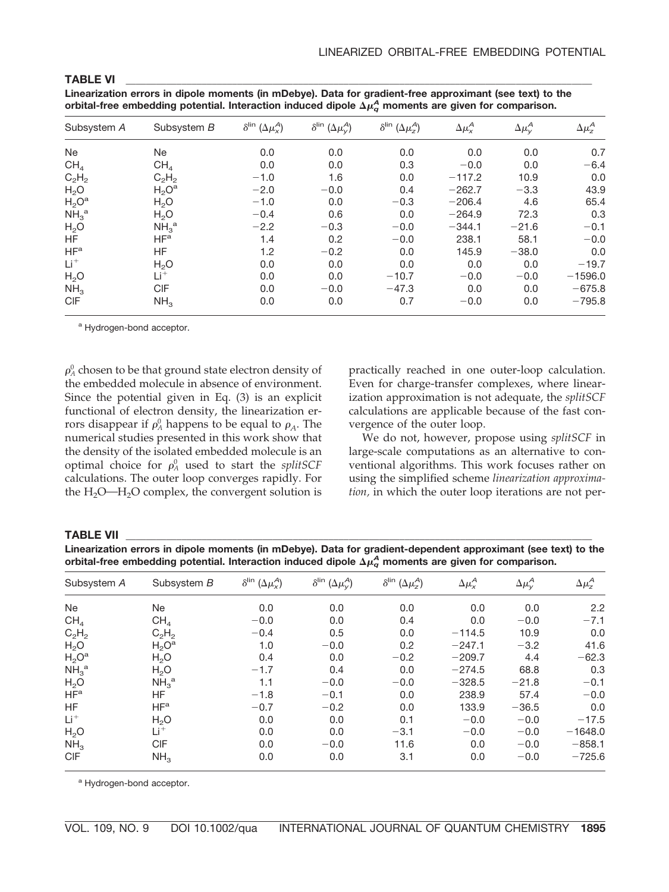**Linearization errors in dipole moments (in mDebye). Data for gradient-free approximant (see text) to the** orbital-free embedding potential. Interaction induced dipole  $\Delta \mu_q^A$  moments are given for comparison.

| Subsystem A                  | Subsystem B                  | $\delta^{\text{lin}}\left(\Delta\mu_{x}^{A}\right)$ | $\delta^{\text{lin}}\left(\Delta\mu_{y}^{\mathcal{A}}\right)$ | $\delta^{\text{lin}}$ ( $\Delta \mu_z^A$ ) | $\Delta \mu_X^{\mathcal{A}}$ | $\Delta \mu_{V}^{A}$ | $\Delta \mu^A_z$ |
|------------------------------|------------------------------|-----------------------------------------------------|---------------------------------------------------------------|--------------------------------------------|------------------------------|----------------------|------------------|
| <b>Ne</b>                    | Ne.                          | 0.0                                                 | 0.0                                                           | 0.0                                        | 0.0                          | 0.0                  | 0.7              |
| CH <sub>4</sub>              | CH <sub>4</sub>              | 0.0                                                 | 0.0                                                           | 0.3                                        | $-0.0$                       | 0.0                  | $-6.4$           |
| $C_2H_2$                     | $C_2H_2$                     | $-1.0$                                              | 1.6                                                           | 0.0                                        | $-117.2$                     | 10.9                 | 0.0              |
| H <sub>2</sub> O             | $H_2O^a$                     | $-2.0$                                              | $-0.0$                                                        | 0.4                                        | $-262.7$                     | $-3.3$               | 43.9             |
| $H_2O^a$                     | $H_2O$                       | $-1.0$                                              | 0.0                                                           | $-0.3$                                     | $-206.4$                     | 4.6                  | 65.4             |
| NH <sub>3</sub> <sup>a</sup> | H <sub>2</sub> O             | $-0.4$                                              | 0.6                                                           | 0.0                                        | $-264.9$                     | 72.3                 | 0.3              |
| H <sub>2</sub> O             | NH <sub>3</sub> <sup>a</sup> | $-2.2$                                              | $-0.3$                                                        | $-0.0$                                     | $-344.1$                     | $-21.6$              | $-0.1$           |
| <b>HF</b>                    | HF <sup>a</sup>              | 1.4                                                 | 0.2                                                           | $-0.0$                                     | 238.1                        | 58.1                 | $-0.0$           |
| HF <sup>a</sup>              | <b>HF</b>                    | 1.2                                                 | $-0.2$                                                        | 0.0                                        | 145.9                        | $-38.0$              | 0.0              |
| $Li+$                        | H <sub>2</sub> O             | 0.0                                                 | 0.0                                                           | 0.0                                        | 0.0                          | 0.0                  | $-19.7$          |
| H <sub>2</sub> O             | $Li^+$                       | 0.0                                                 | 0.0                                                           | $-10.7$                                    | $-0.0$                       | $-0.0$               | $-1596.0$        |
| NH <sub>3</sub>              | <b>CIF</b>                   | 0.0                                                 | $-0.0$                                                        | $-47.3$                                    | 0.0                          | 0.0                  | $-675.8$         |
| <b>CIF</b>                   | NH <sub>3</sub>              | 0.0                                                 | 0.0                                                           | 0.7                                        | $-0.0$                       | 0.0                  | $-795.8$         |

a Hydrogen-bond acceptor.

 $\rho_{\!A}^0$  chosen to be that ground state electron density of the embedded molecule in absence of environment. Since the potential given in Eq. (3) is an explicit functional of electron density, the linearization errors disappear if  $\rho_A^0$  happens to be equal to  $\rho_A$ . The numerical studies presented in this work show that the density of the isolated embedded molecule is an optimal choice for  $\rho_A^0$  used to start the *splitSCF* calculations. The outer loop converges rapidly. For the  $H_2O$ — $H_2O$  complex, the convergent solution is practically reached in one outer-loop calculation. Even for charge-transfer complexes, where linearization approximation is not adequate, the *splitSCF* calculations are applicable because of the fast convergence of the outer loop.

We do not, however, propose using *splitSCF* in large-scale computations as an alternative to conventional algorithms. This work focuses rather on using the simplified scheme *linearization approximation,* in which the outer loop iterations are not per-

#### **TABLE VII \_\_\_\_\_\_\_\_\_\_\_\_\_\_\_\_\_\_\_\_\_\_\_\_\_\_\_\_\_\_\_\_\_\_\_\_\_\_\_\_\_\_\_\_\_\_\_\_\_\_\_\_\_\_\_\_\_\_\_\_\_\_\_\_\_\_\_\_\_\_\_\_\_\_\_\_\_\_\_\_\_\_\_\_\_\_\_\_\_\_\_\_**

**Linearization errors in dipole moments (in mDebye). Data for gradient-dependent approximant (see text) to the** orbital-free embedding potential. Interaction induced dipole  $\Delta \mu_q^A$  moments are given for comparison.

| Subsystem A                  | Subsystem B                  | $\delta^{\text{lin}}\left(\Delta\mu_{x}^{A}\right)$ | $\delta^{\text{lin}}\left(\Delta\mu_{y}^{\mathcal{A}}\right)$ | $\delta^{\text{lin}}$ $(\Delta \mu_z^A)$ | $\Delta \mu_X^A$ | $\Delta \mu_{y}^{A}$ | $\Delta \mu_z^A$ |
|------------------------------|------------------------------|-----------------------------------------------------|---------------------------------------------------------------|------------------------------------------|------------------|----------------------|------------------|
| Ne                           | Ne                           | 0.0                                                 | 0.0                                                           | 0.0                                      | 0.0              | 0.0                  | 2.2              |
| CH <sub>4</sub>              | CH <sub>4</sub>              | $-0.0$                                              | 0.0                                                           | 0.4                                      | 0.0              | $-0.0$               | $-7.1$           |
| $C_2H_2$                     | $C_2H_2$                     | $-0.4$                                              | 0.5                                                           | 0.0                                      | $-114.5$         | 10.9                 | 0.0              |
| H <sub>2</sub> O             | $H_2O^a$                     | 1.0                                                 | $-0.0$                                                        | 0.2                                      | $-247.1$         | $-3.2$               | 41.6             |
| $H_2O^a$                     | H <sub>2</sub> O             | 0.4                                                 | 0.0                                                           | $-0.2$                                   | $-209.7$         | 4.4                  | $-62.3$          |
| NH <sub>3</sub> <sup>a</sup> | H <sub>2</sub> O             | $-1.7$                                              | 0.4                                                           | 0.0                                      | $-274.5$         | 68.8                 | 0.3              |
| H <sub>2</sub> O             | NH <sub>3</sub> <sup>a</sup> | 1.1                                                 | $-0.0$                                                        | $-0.0$                                   | $-328.5$         | $-21.8$              | $-0.1$           |
| HF <sup>a</sup>              | HF.                          | $-1.8$                                              | $-0.1$                                                        | 0.0                                      | 238.9            | 57.4                 | $-0.0$           |
| <b>HF</b>                    | HF <sup>a</sup>              | $-0.7$                                              | $-0.2$                                                        | 0.0                                      | 133.9            | $-36.5$              | 0.0              |
| $Li+$                        | H <sub>2</sub> O             | 0.0                                                 | 0.0                                                           | 0.1                                      | $-0.0$           | $-0.0$               | $-17.5$          |
| H <sub>2</sub> O             | $Li+$                        | 0.0                                                 | 0.0                                                           | $-3.1$                                   | $-0.0$           | $-0.0$               | $-1648.0$        |
| NH <sub>3</sub>              | <b>CIF</b>                   | 0.0                                                 | $-0.0$                                                        | 11.6                                     | 0.0              | $-0.0$               | $-858.1$         |
| <b>CIF</b>                   | NH <sub>3</sub>              | 0.0                                                 | 0.0                                                           | 3.1                                      | 0.0              | $-0.0$               | $-725.6$         |

a Hydrogen-bond acceptor.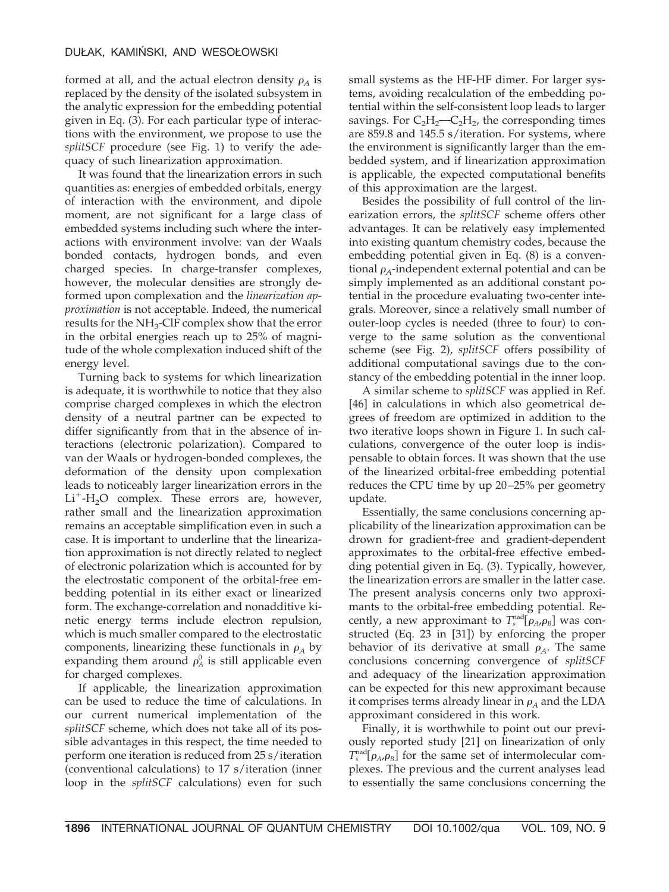formed at all, and the actual electron density  $\rho_A$  is replaced by the density of the isolated subsystem in the analytic expression for the embedding potential given in Eq. (3). For each particular type of interactions with the environment, we propose to use the *splitSCF* procedure (see Fig. 1) to verify the adequacy of such linearization approximation.

It was found that the linearization errors in such quantities as: energies of embedded orbitals, energy of interaction with the environment, and dipole moment, are not significant for a large class of embedded systems including such where the interactions with environment involve: van der Waals bonded contacts, hydrogen bonds, and even charged species. In charge-transfer complexes, however, the molecular densities are strongly deformed upon complexation and the *linearization approximation* is not acceptable. Indeed, the numerical results for the NH3-ClF complex show that the error in the orbital energies reach up to 25% of magnitude of the whole complexation induced shift of the energy level.

Turning back to systems for which linearization is adequate, it is worthwhile to notice that they also comprise charged complexes in which the electron density of a neutral partner can be expected to differ significantly from that in the absence of interactions (electronic polarization). Compared to van der Waals or hydrogen-bonded complexes, the deformation of the density upon complexation leads to noticeably larger linearization errors in the  $Li^+$ -H<sub>2</sub>O complex. These errors are, however, rather small and the linearization approximation remains an acceptable simplification even in such a case. It is important to underline that the linearization approximation is not directly related to neglect of electronic polarization which is accounted for by the electrostatic component of the orbital-free embedding potential in its either exact or linearized form. The exchange-correlation and nonadditive kinetic energy terms include electron repulsion, which is much smaller compared to the electrostatic components, linearizing these functionals in  $\rho_A$  by expanding them around  $\rho_A^0$  is still applicable even for charged complexes.

If applicable, the linearization approximation can be used to reduce the time of calculations. In our current numerical implementation of the *splitSCF* scheme, which does not take all of its possible advantages in this respect, the time needed to perform one iteration is reduced from 25 s/iteration (conventional calculations) to 17 s/iteration (inner loop in the *splitSCF* calculations) even for such

small systems as the HF-HF dimer. For larger systems, avoiding recalculation of the embedding potential within the self-consistent loop leads to larger savings. For  $C_2H_2-C_2H_2$ , the corresponding times are 859.8 and 145.5 s/iteration. For systems, where the environment is significantly larger than the embedded system, and if linearization approximation is applicable, the expected computational benefits of this approximation are the largest.

Besides the possibility of full control of the linearization errors, the *splitSCF* scheme offers other advantages. It can be relatively easy implemented into existing quantum chemistry codes, because the embedding potential given in Eq. (8) is a conventional  $\rho_A$ -independent external potential and can be simply implemented as an additional constant potential in the procedure evaluating two-center integrals. Moreover, since a relatively small number of outer-loop cycles is needed (three to four) to converge to the same solution as the conventional scheme (see Fig. 2), *splitSCF* offers possibility of additional computational savings due to the constancy of the embedding potential in the inner loop.

A similar scheme to *splitSCF* was applied in Ref. [46] in calculations in which also geometrical degrees of freedom are optimized in addition to the two iterative loops shown in Figure 1. In such calculations, convergence of the outer loop is indispensable to obtain forces. It was shown that the use of the linearized orbital-free embedding potential reduces the CPU time by up 20 –25% per geometry update.

Essentially, the same conclusions concerning applicability of the linearization approximation can be drown for gradient-free and gradient-dependent approximates to the orbital-free effective embedding potential given in Eq. (3). Typically, however, the linearization errors are smaller in the latter case. The present analysis concerns only two approximants to the orbital-free embedding potential. Recently, a new approximant to  $T_s^{\text{nad}}[\rho_A, \rho_B]$  was constructed (Eq. 23 in [31]) by enforcing the proper behavior of its derivative at small  $\rho_A$ . The same conclusions concerning convergence of *splitSCF* and adequacy of the linearization approximation can be expected for this new approximant because it comprises terms already linear in  $\rho_A$  and the LDA approximant considered in this work.

Finally, it is worthwhile to point out our previously reported study [21] on linearization of only  $T_s^{\text{nad}}[\rho_A, \rho_B]$  for the same set of intermolecular complexes. The previous and the current analyses lead to essentially the same conclusions concerning the